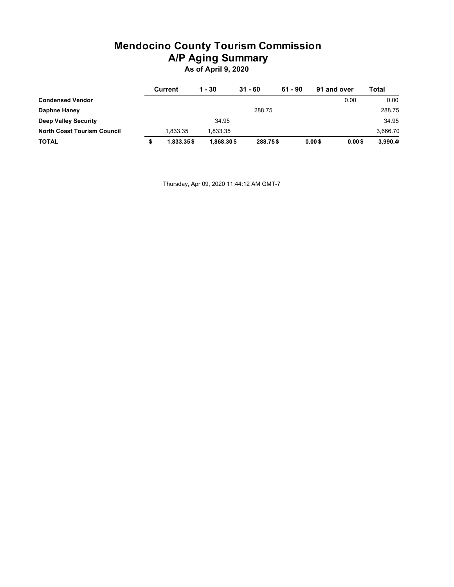# **Mendocino County Tourism Commission A/P Aging Summary**

**As of April 9, 2020**

|                                    | Current    | 1 - 30     | $31 - 60$ | $61 - 90$ | 91 and over            | Total    |
|------------------------------------|------------|------------|-----------|-----------|------------------------|----------|
| <b>Condensed Vendor</b>            |            |            |           |           | 0.00                   | 0.00     |
| Daphne Haney                       |            |            | 288.75    |           |                        | 288.75   |
| <b>Deep Valley Security</b>        |            | 34.95      |           |           |                        | 34.95    |
| <b>North Coast Tourism Council</b> | 1.833.35   | 1.833.35   |           |           |                        | 3.666.70 |
| <b>TOTAL</b>                       | 1.833.35\$ | 1.868.30\$ | 288.75\$  |           | $0.00$ \$<br>$0.00$ \$ | 3,990.4  |

Thursday, Apr 09, 2020 11:44:12 AM GMT-7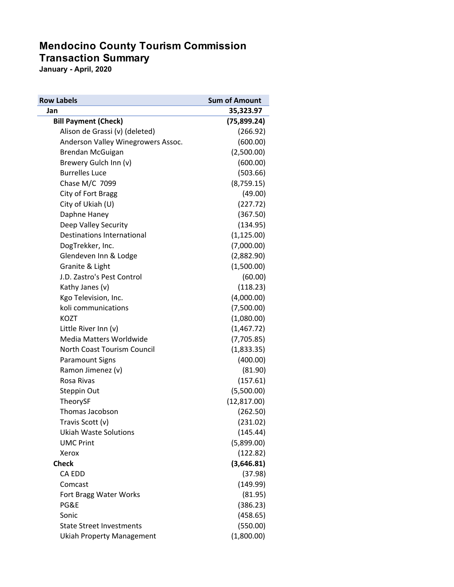### **Mendocino County Tourism Commission Transaction Summary**

**January - April, 2020**

| <b>Row Labels</b>                  | <b>Sum of Amount</b> |
|------------------------------------|----------------------|
| Jan                                | 35,323.97            |
| <b>Bill Payment (Check)</b>        | (75, 899.24)         |
| Alison de Grassi (v) (deleted)     | (266.92)             |
| Anderson Valley Winegrowers Assoc. | (600.00)             |
| Brendan McGuigan                   | (2,500.00)           |
| Brewery Gulch Inn (v)              | (600.00)             |
| <b>Burrelles Luce</b>              | (503.66)             |
| Chase M/C 7099                     | (8,759.15)           |
| City of Fort Bragg                 | (49.00)              |
| City of Ukiah (U)                  | (227.72)             |
| Daphne Haney                       | (367.50)             |
| Deep Valley Security               | (134.95)             |
| Destinations International         | (1, 125.00)          |
| DogTrekker, Inc.                   | (7,000.00)           |
| Glendeven Inn & Lodge              | (2,882.90)           |
| Granite & Light                    | (1,500.00)           |
| J.D. Zastro's Pest Control         | (60.00)              |
| Kathy Janes (v)                    | (118.23)             |
| Kgo Television, Inc.               | (4,000.00)           |
| koli communications                | (7,500.00)           |
| <b>KOZT</b>                        | (1,080.00)           |
| Little River Inn (v)               | (1,467.72)           |
| Media Matters Worldwide            | (7,705.85)           |
| North Coast Tourism Council        | (1,833.35)           |
| <b>Paramount Signs</b>             | (400.00)             |
| Ramon Jimenez (v)                  | (81.90)              |
| Rosa Rivas                         | (157.61)             |
| Steppin Out                        | (5,500.00)           |
| TheorySF                           | (12, 817.00)         |
| Thomas Jacobson                    | (262.50)             |
| Travis Scott (v)                   | (231.02)             |
| <b>Ukiah Waste Solutions</b>       | (145.44)             |
| <b>UMC Print</b>                   | (5,899.00)           |
| Xerox                              | (122.82)             |
| <b>Check</b>                       | (3,646.81)           |
| CA EDD                             | (37.98)              |
| Comcast                            | (149.99)             |
| Fort Bragg Water Works             | (81.95)              |
| PG&E                               | (386.23)             |
| Sonic                              | (458.65)             |
| <b>State Street Investments</b>    | (550.00)             |
| <b>Ukiah Property Management</b>   | (1,800.00)           |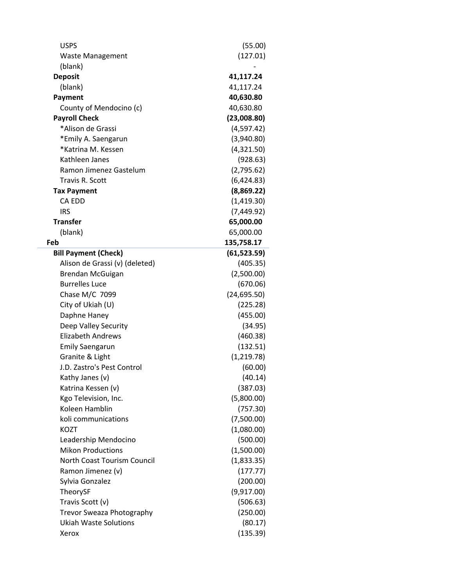| <b>USPS</b>                        | (55.00)      |
|------------------------------------|--------------|
| <b>Waste Management</b>            | (127.01)     |
| (blank)                            |              |
| <b>Deposit</b>                     | 41,117.24    |
| (blank)                            | 41,117.24    |
| Payment                            | 40,630.80    |
| County of Mendocino (c)            | 40,630.80    |
| <b>Payroll Check</b>               | (23,008.80)  |
| *Alison de Grassi                  | (4,597.42)   |
| *Emily A. Saengarun                | (3,940.80)   |
| *Katrina M. Kessen                 | (4,321.50)   |
| Kathleen Janes                     | (928.63)     |
| Ramon Jimenez Gastelum             | (2,795.62)   |
| Travis R. Scott                    | (6,424.83)   |
| <b>Tax Payment</b>                 | (8,869.22)   |
| <b>CA EDD</b>                      | (1,419.30)   |
| <b>IRS</b>                         | (7,449.92)   |
| <b>Transfer</b>                    | 65,000.00    |
| (blank)                            | 65,000.00    |
| Feb                                | 135,758.17   |
| <b>Bill Payment (Check)</b>        | (61, 523.59) |
| Alison de Grassi (v) (deleted)     | (405.35)     |
| Brendan McGuigan                   | (2,500.00)   |
| <b>Burrelles Luce</b>              | (670.06)     |
| Chase M/C 7099                     | (24, 695.50) |
| City of Ukiah (U)                  | (225.28)     |
| Daphne Haney                       | (455.00)     |
| Deep Valley Security               | (34.95)      |
| <b>Elizabeth Andrews</b>           | (460.38)     |
| <b>Emily Saengarun</b>             | (132.51)     |
| Granite & Light                    | (1, 219.78)  |
| J.D. Zastro's Pest Control         | (60.00)      |
| Kathy Janes (v)                    | (40.14)      |
| Katrina Kessen (v)                 | (387.03)     |
| Kgo Television, Inc.               | (5,800.00)   |
| Koleen Hamblin                     | (757.30)     |
| koli communications                | (7,500.00)   |
| <b>KOZT</b>                        | (1,080.00)   |
| Leadership Mendocino               | (500.00)     |
| <b>Mikon Productions</b>           | (1,500.00)   |
| <b>North Coast Tourism Council</b> | (1,833.35)   |
| Ramon Jimenez (v)                  | (177.77)     |
| Sylvia Gonzalez                    | (200.00)     |
| TheorySF                           | (9,917.00)   |
| Travis Scott (v)                   | (506.63)     |
| Trevor Sweaza Photography          | (250.00)     |
| <b>Ukiah Waste Solutions</b>       | (80.17)      |
| Xerox                              | (135.39)     |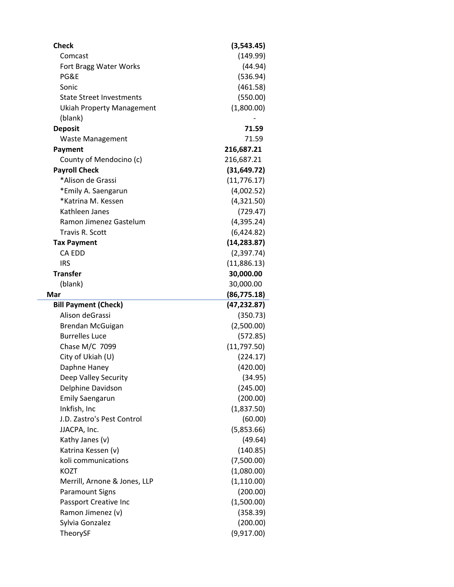| <b>Check</b>                     | (3,543.45)             |
|----------------------------------|------------------------|
| Comcast                          | (149.99)               |
| Fort Bragg Water Works           | (44.94)                |
| PG&E                             | (536.94)               |
| Sonic                            | (461.58)               |
| <b>State Street Investments</b>  | (550.00)               |
| <b>Ukiah Property Management</b> | (1,800.00)             |
| (blank)                          |                        |
| <b>Deposit</b>                   | 71.59                  |
| <b>Waste Management</b>          | 71.59                  |
| <b>Payment</b>                   | 216,687.21             |
| County of Mendocino (c)          | 216,687.21             |
| <b>Payroll Check</b>             | (31, 649.72)           |
| *Alison de Grassi                | (11, 776.17)           |
| *Emily A. Saengarun              | (4,002.52)             |
| *Katrina M. Kessen               | (4,321.50)             |
| Kathleen Janes                   | (729.47)               |
| Ramon Jimenez Gastelum           | (4,395.24)             |
| Travis R. Scott                  | (6,424.82)             |
| <b>Tax Payment</b>               | (14, 283.87)           |
| CA EDD                           | (2,397.74)             |
| <b>IRS</b>                       | (11,886.13)            |
| <b>Transfer</b>                  | 30,000.00              |
| (blank)                          | 30,000.00              |
|                                  |                        |
| Mar                              | (86, 775.18)           |
| <b>Bill Payment (Check)</b>      | (47, 232.87)           |
| Alison deGrassi                  | (350.73)               |
| Brendan McGuigan                 | (2,500.00)             |
| <b>Burrelles Luce</b>            | (572.85)               |
| Chase M/C 7099                   | (11, 797.50)           |
| City of Ukiah (U)                | (224.17)               |
| Daphne Haney                     | (420.00)               |
| Deep Valley Security             | (34.95)                |
| Delphine Davidson                | (245.00)               |
| <b>Emily Saengarun</b>           | (200.00)               |
| Inkfish, Inc                     | (1,837.50)             |
| J.D. Zastro's Pest Control       | (60.00)                |
| JJACPA, Inc.                     | (5,853.66)             |
| Kathy Janes (v)                  | (49.64)                |
| Katrina Kessen (v)               | (140.85)               |
| koli communications              | (7,500.00)             |
| KOZT                             | (1,080.00)             |
| Merrill, Arnone & Jones, LLP     | (1, 110.00)            |
| <b>Paramount Signs</b>           | (200.00)               |
| Passport Creative Inc            | (1,500.00)             |
| Ramon Jimenez (v)                | (358.39)               |
| Sylvia Gonzalez<br>TheorySF      | (200.00)<br>(9,917.00) |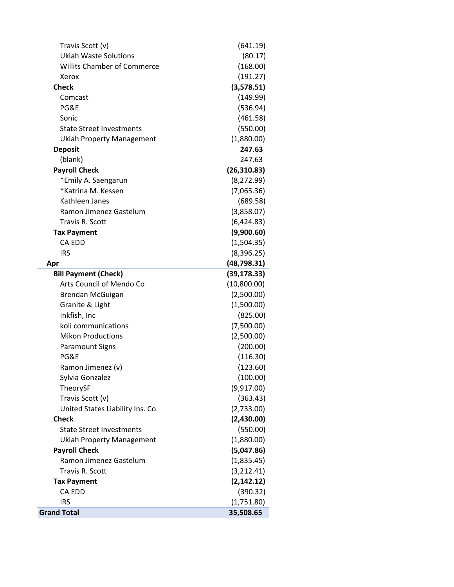| Travis Scott (v)                   | (641.19)     |
|------------------------------------|--------------|
| <b>Ukiah Waste Solutions</b>       | (80.17)      |
| <b>Willits Chamber of Commerce</b> | (168.00)     |
| Xerox                              | (191.27)     |
| <b>Check</b>                       | (3,578.51)   |
| Comcast                            | (149.99)     |
| PG&E                               | (536.94)     |
| Sonic                              | (461.58)     |
| <b>State Street Investments</b>    | (550.00)     |
| <b>Ukiah Property Management</b>   | (1,880.00)   |
| <b>Deposit</b>                     | 247.63       |
| (blank)                            | 247.63       |
| <b>Payroll Check</b>               | (26, 310.83) |
| *Emily A. Saengarun                | (8, 272.99)  |
| *Katrina M. Kessen                 | (7,065.36)   |
| Kathleen Janes                     | (689.58)     |
| Ramon Jimenez Gastelum             | (3,858.07)   |
| Travis R. Scott                    | (6,424.83)   |
| <b>Tax Payment</b>                 | (9,900.60)   |
| CA EDD                             | (1,504.35)   |
| <b>IRS</b>                         | (8,396.25)   |
| Apr                                | (48, 798.31) |
| <b>Bill Payment (Check)</b>        | (39, 178.33) |
| Arts Council of Mendo Co           | (10,800.00)  |
| Brendan McGuigan                   | (2,500.00)   |
| Granite & Light                    | (1,500.00)   |
| Inkfish, Inc                       | (825.00)     |
| koli communications                | (7,500.00)   |
| <b>Mikon Productions</b>           | (2,500.00)   |
| <b>Paramount Signs</b>             | (200.00)     |
| PG&E                               | (116.30)     |
| Ramon Jimenez (v)                  | (123.60)     |
| Sylvia Gonzalez                    | (100.00)     |
|                                    |              |
| TheorySF                           | (9,917.00)   |
| Travis Scott (v)                   | (363.43)     |
| United States Liability Ins. Co.   | (2,733.00)   |
| <b>Check</b>                       | (2,430.00)   |
| <b>State Street Investments</b>    | (550.00)     |
| Ukiah Property Management          | (1,880.00)   |
| <b>Payroll Check</b>               | (5,047.86)   |
| Ramon Jimenez Gastelum             | (1,835.45)   |
| Travis R. Scott                    | (3, 212.41)  |
| <b>Tax Payment</b>                 | (2, 142.12)  |
| CA EDD                             | (390.32)     |
| <b>IRS</b>                         | (1,751.80)   |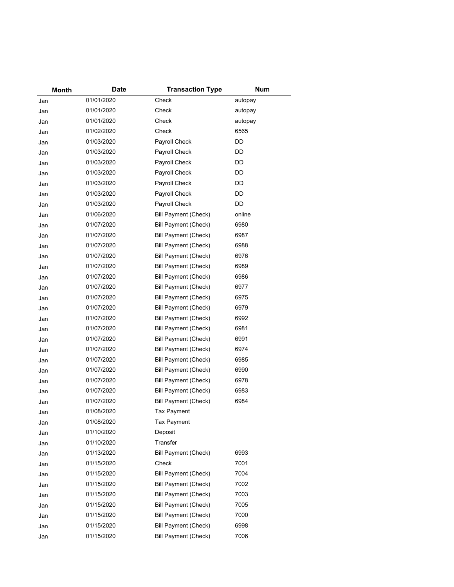| Month | Date       | <b>Transaction Type</b>     | <b>Num</b> |
|-------|------------|-----------------------------|------------|
| Jan   | 01/01/2020 | Check                       | autopay    |
| Jan   | 01/01/2020 | Check                       | autopay    |
| Jan   | 01/01/2020 | Check                       | autopay    |
| Jan   | 01/02/2020 | Check                       | 6565       |
| Jan   | 01/03/2020 | Payroll Check               | DD         |
| Jan   | 01/03/2020 | Payroll Check               | DD         |
| Jan   | 01/03/2020 | Payroll Check               | DD         |
| Jan   | 01/03/2020 | Payroll Check               | DD         |
| Jan   | 01/03/2020 | Payroll Check               | DD         |
| Jan   | 01/03/2020 | Payroll Check               | DD         |
| Jan   | 01/03/2020 | Payroll Check               | DD         |
| Jan   | 01/06/2020 | Bill Payment (Check)        | online     |
| Jan   | 01/07/2020 | <b>Bill Payment (Check)</b> | 6980       |
| Jan   | 01/07/2020 | <b>Bill Payment (Check)</b> | 6987       |
| Jan   | 01/07/2020 | <b>Bill Payment (Check)</b> | 6988       |
| Jan   | 01/07/2020 | <b>Bill Payment (Check)</b> | 6976       |
| Jan   | 01/07/2020 | <b>Bill Payment (Check)</b> | 6989       |
| Jan   | 01/07/2020 | Bill Payment (Check)        | 6986       |
| Jan   | 01/07/2020 | <b>Bill Payment (Check)</b> | 6977       |
| Jan   | 01/07/2020 | Bill Payment (Check)        | 6975       |
| Jan   | 01/07/2020 | <b>Bill Payment (Check)</b> | 6979       |
| Jan   | 01/07/2020 | <b>Bill Payment (Check)</b> | 6992       |
| Jan   | 01/07/2020 | <b>Bill Payment (Check)</b> | 6981       |
| Jan   | 01/07/2020 | Bill Payment (Check)        | 6991       |
| Jan   | 01/07/2020 | <b>Bill Payment (Check)</b> | 6974       |
| Jan   | 01/07/2020 | Bill Payment (Check)        | 6985       |
| Jan   | 01/07/2020 | <b>Bill Payment (Check)</b> | 6990       |
| Jan   | 01/07/2020 | <b>Bill Payment (Check)</b> | 6978       |
| Jan   | 01/07/2020 | <b>Bill Payment (Check)</b> | 6983       |
| Jan   | 01/07/2020 | Bill Payment (Check)        | 6984       |
| Jan   | 01/08/2020 | <b>Tax Payment</b>          |            |
| Jan   | 01/08/2020 | <b>Tax Payment</b>          |            |
| Jan   | 01/10/2020 | Deposit                     |            |
| Jan   | 01/10/2020 | Transfer                    |            |
| Jan   | 01/13/2020 | <b>Bill Payment (Check)</b> | 6993       |
| Jan   | 01/15/2020 | Check                       | 7001       |
| Jan   | 01/15/2020 | <b>Bill Payment (Check)</b> | 7004       |
| Jan   | 01/15/2020 | <b>Bill Payment (Check)</b> | 7002       |
| Jan   | 01/15/2020 | <b>Bill Payment (Check)</b> | 7003       |
| Jan   | 01/15/2020 | <b>Bill Payment (Check)</b> | 7005       |
| Jan   | 01/15/2020 | <b>Bill Payment (Check)</b> | 7000       |
| Jan   | 01/15/2020 | <b>Bill Payment (Check)</b> | 6998       |
| Jan   | 01/15/2020 | <b>Bill Payment (Check)</b> | 7006       |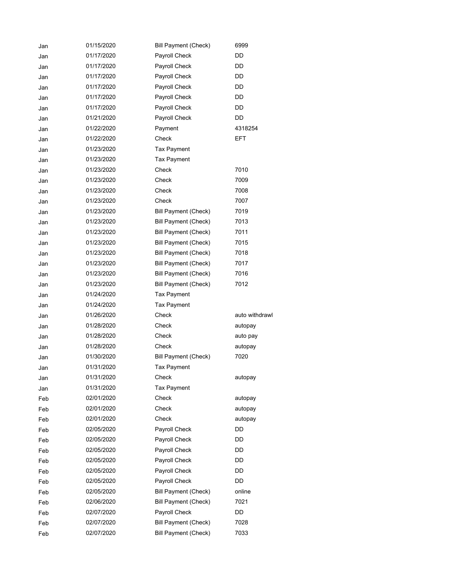| Jan | 01/15/2020 | <b>Bill Payment (Check)</b> | 6999           |
|-----|------------|-----------------------------|----------------|
| Jan | 01/17/2020 | Payroll Check               | DD             |
| Jan | 01/17/2020 | Payroll Check               | DD             |
| Jan | 01/17/2020 | Payroll Check               | DD             |
| Jan | 01/17/2020 | Payroll Check               | DD             |
| Jan | 01/17/2020 | Payroll Check               | DD             |
| Jan | 01/17/2020 | Payroll Check               | DD             |
| Jan | 01/21/2020 | Payroll Check               | DD             |
| Jan | 01/22/2020 | Payment                     | 4318254        |
| Jan | 01/22/2020 | Check                       | <b>EFT</b>     |
| Jan | 01/23/2020 | <b>Tax Payment</b>          |                |
| Jan | 01/23/2020 | <b>Tax Payment</b>          |                |
| Jan | 01/23/2020 | Check                       | 7010           |
| Jan | 01/23/2020 | Check                       | 7009           |
| Jan | 01/23/2020 | Check                       | 7008           |
| Jan | 01/23/2020 | Check                       | 7007           |
| Jan | 01/23/2020 | <b>Bill Payment (Check)</b> | 7019           |
| Jan | 01/23/2020 | <b>Bill Payment (Check)</b> | 7013           |
| Jan | 01/23/2020 | <b>Bill Payment (Check)</b> | 7011           |
| Jan | 01/23/2020 | <b>Bill Payment (Check)</b> | 7015           |
| Jan | 01/23/2020 | <b>Bill Payment (Check)</b> | 7018           |
| Jan | 01/23/2020 | <b>Bill Payment (Check)</b> | 7017           |
| Jan | 01/23/2020 | <b>Bill Payment (Check)</b> | 7016           |
| Jan | 01/23/2020 | <b>Bill Payment (Check)</b> | 7012           |
| Jan | 01/24/2020 | Tax Payment                 |                |
| Jan | 01/24/2020 | <b>Tax Payment</b>          |                |
| Jan | 01/26/2020 | Check                       | auto withdrawl |
| Jan | 01/28/2020 | Check                       | autopay        |
| Jan | 01/28/2020 | Check                       | auto pay       |
|     | 01/28/2020 | Check                       | autopay        |
| Jan | 01/30/2020 | <b>Bill Payment (Check)</b> | 7020           |
| Jan | 01/31/2020 | Tax Payment                 |                |
| Jan | 01/31/2020 | Check                       |                |
| Jan | 01/31/2020 | <b>Tax Payment</b>          | autopay        |
| Jan | 02/01/2020 | Check                       |                |
| Feb | 02/01/2020 | Check                       | autopay        |
| Feb | 02/01/2020 | Check                       | autopay        |
| Feb | 02/05/2020 |                             | autopay<br>DD  |
| Feb |            | Payroll Check               |                |
| Feb | 02/05/2020 | Payroll Check               | DD             |
| Feb | 02/05/2020 | Payroll Check               | DD             |
| Feb | 02/05/2020 | Payroll Check               | DD             |
| Feb | 02/05/2020 | Payroll Check               | DD             |
| Feb | 02/05/2020 | Payroll Check               | DD             |
| Feb | 02/05/2020 | <b>Bill Payment (Check)</b> | online         |
| Feb | 02/06/2020 | <b>Bill Payment (Check)</b> | 7021           |
| Feb | 02/07/2020 | Payroll Check               | DD             |
| Feb | 02/07/2020 | <b>Bill Payment (Check)</b> | 7028           |
| Feb | 02/07/2020 | <b>Bill Payment (Check)</b> | 7033           |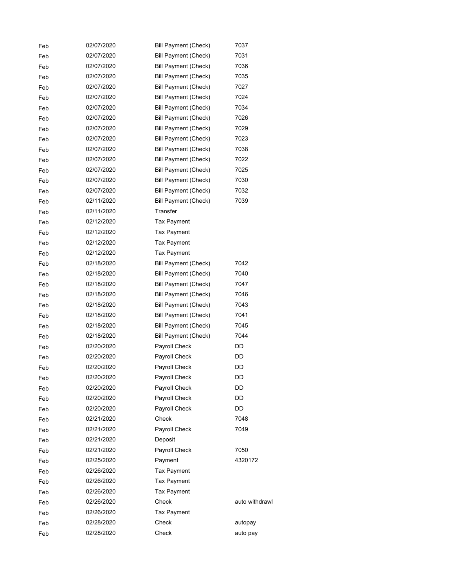| Feb | 02/07/2020 | <b>Bill Payment (Check)</b> | 7037           |
|-----|------------|-----------------------------|----------------|
| Feb | 02/07/2020 | <b>Bill Payment (Check)</b> | 7031           |
| Feb | 02/07/2020 | <b>Bill Payment (Check)</b> | 7036           |
| Feb | 02/07/2020 | Bill Payment (Check)        | 7035           |
| Feb | 02/07/2020 | <b>Bill Payment (Check)</b> | 7027           |
| Feb | 02/07/2020 | <b>Bill Payment (Check)</b> | 7024           |
| Feb | 02/07/2020 | Bill Payment (Check)        | 7034           |
| Feb | 02/07/2020 | <b>Bill Payment (Check)</b> | 7026           |
| Feb | 02/07/2020 | <b>Bill Payment (Check)</b> | 7029           |
| Feb | 02/07/2020 | Bill Payment (Check)        | 7023           |
| Feb | 02/07/2020 | <b>Bill Payment (Check)</b> | 7038           |
| Feb | 02/07/2020 | <b>Bill Payment (Check)</b> | 7022           |
| Feb | 02/07/2020 | Bill Payment (Check)        | 7025           |
| Feb | 02/07/2020 | <b>Bill Payment (Check)</b> | 7030           |
| Feb | 02/07/2020 | <b>Bill Payment (Check)</b> | 7032           |
| Feb | 02/11/2020 | Bill Payment (Check)        | 7039           |
| Feb | 02/11/2020 | Transfer                    |                |
| Feb | 02/12/2020 | <b>Tax Payment</b>          |                |
| Feb | 02/12/2020 | <b>Tax Payment</b>          |                |
| Feb | 02/12/2020 | <b>Tax Payment</b>          |                |
| Feb | 02/12/2020 | <b>Tax Payment</b>          |                |
| Feb | 02/18/2020 | <b>Bill Payment (Check)</b> | 7042           |
| Feb | 02/18/2020 | <b>Bill Payment (Check)</b> | 7040           |
| Feb | 02/18/2020 | <b>Bill Payment (Check)</b> | 7047           |
| Feb | 02/18/2020 | Bill Payment (Check)        | 7046           |
| Feb | 02/18/2020 | <b>Bill Payment (Check)</b> | 7043           |
| Feb | 02/18/2020 | <b>Bill Payment (Check)</b> | 7041           |
| Feb | 02/18/2020 | <b>Bill Payment (Check)</b> | 7045           |
| Feb | 02/18/2020 | <b>Bill Payment (Check)</b> | 7044           |
| Feb | 02/20/2020 | Payroll Check               | DD             |
| Feb | 02/20/2020 | Payroll Check               | DD             |
| Feb | 02/20/2020 | Payroll Check               | DD             |
| Feb | 02/20/2020 | Payroll Check               | DD             |
| Feb | 02/20/2020 | Payroll Check               | DD             |
| Feb | 02/20/2020 | Payroll Check               | DD             |
| Feb | 02/20/2020 | Payroll Check               | DD             |
| Feb | 02/21/2020 | Check                       | 7048           |
| Feb | 02/21/2020 | Payroll Check               | 7049           |
| Feb | 02/21/2020 | Deposit                     |                |
| Feb | 02/21/2020 | Payroll Check               | 7050           |
| Feb | 02/25/2020 | Payment                     | 4320172        |
| Feb | 02/26/2020 | <b>Tax Payment</b>          |                |
| Feb | 02/26/2020 | Tax Payment                 |                |
| Feb | 02/26/2020 | <b>Tax Payment</b>          |                |
| Feb | 02/26/2020 | Check                       | auto withdrawl |
| Feb | 02/26/2020 | <b>Tax Payment</b>          |                |
| Feb | 02/28/2020 | Check                       | autopay        |
| Feb | 02/28/2020 | Check                       | auto pay       |
|     |            |                             |                |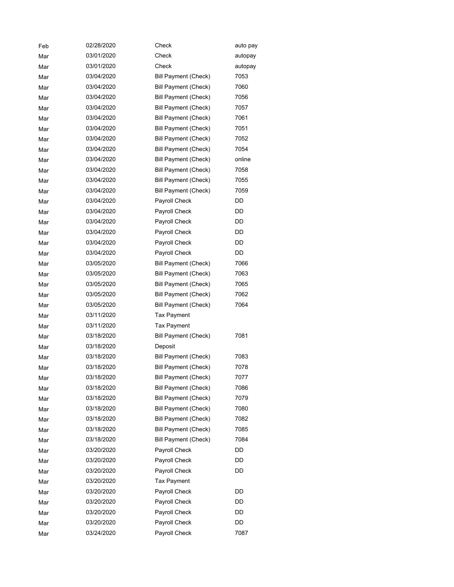| Feb | 02/28/2020 | Check                       | auto pay |
|-----|------------|-----------------------------|----------|
| Mar | 03/01/2020 | Check                       | autopay  |
| Mar | 03/01/2020 | Check                       | autopay  |
| Mar | 03/04/2020 | <b>Bill Payment (Check)</b> | 7053     |
| Mar | 03/04/2020 | <b>Bill Payment (Check)</b> | 7060     |
| Mar | 03/04/2020 | <b>Bill Payment (Check)</b> | 7056     |
| Mar | 03/04/2020 | <b>Bill Payment (Check)</b> | 7057     |
| Mar | 03/04/2020 | <b>Bill Payment (Check)</b> | 7061     |
| Mar | 03/04/2020 | <b>Bill Payment (Check)</b> | 7051     |
| Mar | 03/04/2020 | <b>Bill Payment (Check)</b> | 7052     |
| Mar | 03/04/2020 | <b>Bill Payment (Check)</b> | 7054     |
| Mar | 03/04/2020 | <b>Bill Payment (Check)</b> | online   |
| Mar | 03/04/2020 | <b>Bill Payment (Check)</b> | 7058     |
| Mar | 03/04/2020 | <b>Bill Payment (Check)</b> | 7055     |
| Mar | 03/04/2020 | <b>Bill Payment (Check)</b> | 7059     |
| Mar | 03/04/2020 | Payroll Check               | DD       |
| Mar | 03/04/2020 | Payroll Check               | DD       |
| Mar | 03/04/2020 | Payroll Check               | DD       |
| Mar | 03/04/2020 | Payroll Check               | DD       |
| Mar | 03/04/2020 | Payroll Check               | DD       |
| Mar | 03/04/2020 | Payroll Check               | DD       |
| Mar | 03/05/2020 | <b>Bill Payment (Check)</b> | 7066     |
| Mar | 03/05/2020 | <b>Bill Payment (Check)</b> | 7063     |
| Mar | 03/05/2020 | <b>Bill Payment (Check)</b> | 7065     |
| Mar | 03/05/2020 | <b>Bill Payment (Check)</b> | 7062     |
| Mar | 03/05/2020 | <b>Bill Payment (Check)</b> | 7064     |
| Mar | 03/11/2020 | Tax Payment                 |          |
| Mar | 03/11/2020 | <b>Tax Payment</b>          |          |
| Mar | 03/18/2020 | <b>Bill Payment (Check)</b> | 7081     |
| Mar | 03/18/2020 | Deposit                     |          |
| Mar | 03/18/2020 | <b>Bill Payment (Check)</b> | 7083     |
| Mar | 03/18/2020 | Bill Payment (Check)        | 7078     |
| Mar | 03/18/2020 | <b>Bill Payment (Check)</b> | 7077     |
| Mar | 03/18/2020 | <b>Bill Payment (Check)</b> | 7086     |
| Mar | 03/18/2020 | <b>Bill Payment (Check)</b> | 7079     |
| Mar | 03/18/2020 | <b>Bill Payment (Check)</b> | 7080     |
| Mar | 03/18/2020 | <b>Bill Payment (Check)</b> | 7082     |
| Mar | 03/18/2020 | <b>Bill Payment (Check)</b> | 7085     |
| Mar | 03/18/2020 | <b>Bill Payment (Check)</b> | 7084     |
| Mar | 03/20/2020 | Payroll Check               | DD       |
| Mar | 03/20/2020 | Payroll Check               | DD       |
| Mar | 03/20/2020 | Payroll Check               | DD       |
| Mar | 03/20/2020 | <b>Tax Payment</b>          |          |
| Mar | 03/20/2020 | Payroll Check               | DD       |
| Mar | 03/20/2020 | Payroll Check               | DD       |
| Mar | 03/20/2020 | Payroll Check               | DD       |
| Mar | 03/20/2020 | Payroll Check               | DD       |
| Mar | 03/24/2020 | Payroll Check               | 7087     |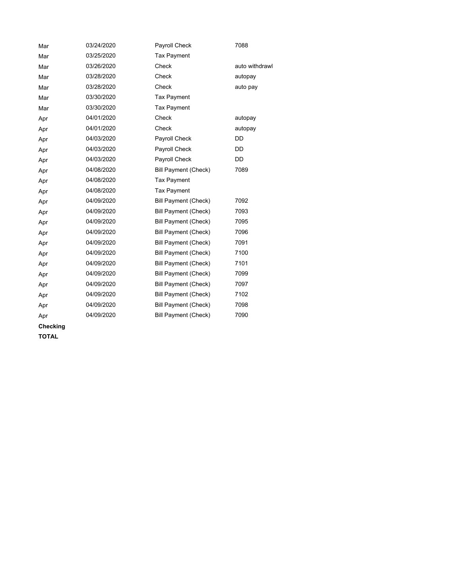| Mar | 03/24/2020 | Payroll Check               | 7088           |
|-----|------------|-----------------------------|----------------|
| Mar | 03/25/2020 | <b>Tax Payment</b>          |                |
| Mar | 03/26/2020 | Check                       | auto withdrawl |
| Mar | 03/28/2020 | Check                       | autopay        |
| Mar | 03/28/2020 | Check                       | auto pay       |
| Mar | 03/30/2020 | <b>Tax Payment</b>          |                |
| Mar | 03/30/2020 | <b>Tax Payment</b>          |                |
| Apr | 04/01/2020 | Check                       | autopay        |
| Apr | 04/01/2020 | Check                       | autopay        |
| Apr | 04/03/2020 | Payroll Check               | DD             |
| Apr | 04/03/2020 | Payroll Check               | DD             |
| Apr | 04/03/2020 | Payroll Check               | DD             |
| Apr | 04/08/2020 | <b>Bill Payment (Check)</b> | 7089           |
| Apr | 04/08/2020 | <b>Tax Payment</b>          |                |
| Apr | 04/08/2020 | <b>Tax Payment</b>          |                |
| Apr | 04/09/2020 | Bill Payment (Check)        | 7092           |
| Apr | 04/09/2020 | <b>Bill Payment (Check)</b> | 7093           |
| Apr | 04/09/2020 | <b>Bill Payment (Check)</b> | 7095           |
| Apr | 04/09/2020 | <b>Bill Payment (Check)</b> | 7096           |
| Apr | 04/09/2020 | <b>Bill Payment (Check)</b> | 7091           |
| Apr | 04/09/2020 | Bill Payment (Check)        | 7100           |
| Apr | 04/09/2020 | <b>Bill Payment (Check)</b> | 7101           |
| Apr | 04/09/2020 | <b>Bill Payment (Check)</b> | 7099           |
| Apr | 04/09/2020 | Bill Payment (Check)        | 7097           |
| Apr | 04/09/2020 | <b>Bill Payment (Check)</b> | 7102           |
| Apr | 04/09/2020 | <b>Bill Payment (Check)</b> | 7098           |
| Apr | 04/09/2020 | <b>Bill Payment (Check)</b> | 7090           |

**Checking**

**TOTAL**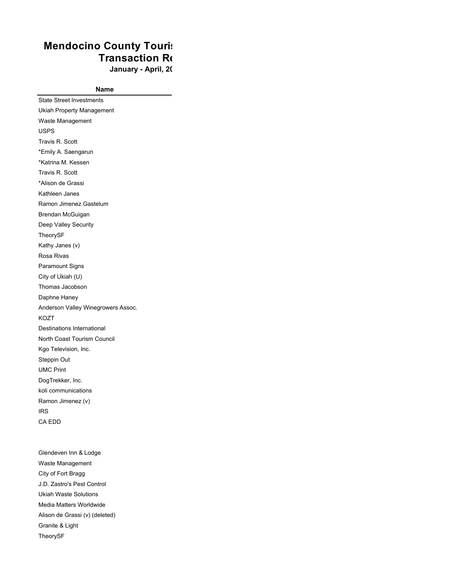## **Mendocino County Touris Transaction Re**

January - April, 20

**Name**

State Street Investments Ukiah Property Management Waste Management USPS Travis R. Scott \*Emily A. Saengarun \*Katrina M. Kessen Travis R. Scott \*Alison de Grassi Kathleen Janes Ramon Jimenez Gastelum Brendan McGuigan Deep Valley Security TheorySF Kathy Janes (v) Rosa Rivas Paramount Signs City of Ukiah (U) Thomas Jacobson Daphne Haney Anderson Valley Winegrowers Assoc. KOZT Destinations International North Coast Tourism Council Kgo Television, Inc. Steppin Out UMC Print DogTrekker, Inc. koli communications Ramon Jimenez (v) IRS CA EDD

Glendeven Inn & Lodge Waste Management City of Fort Bragg J.D. Zastro's Pest Control Ukiah Waste Solutions Media Matters Worldwide Alison de Grassi (v) (deleted) Granite & Light TheorySF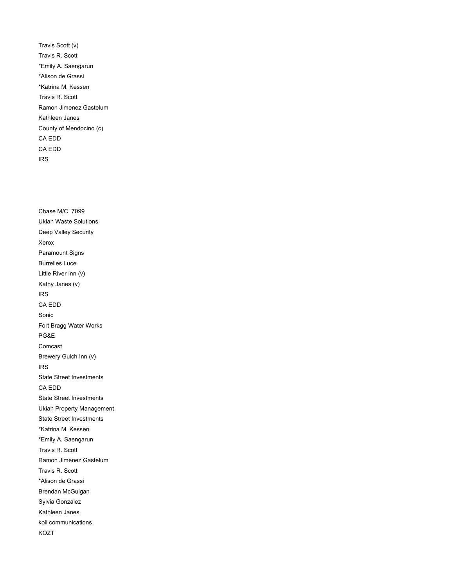Travis Scott (v) Travis R. Scott \*Emily A. Saengarun \*Alison de Grassi \*Katrina M. Kessen Travis R. Scott Ramon Jimenez Gastelum Kathleen Janes County of Mendocino (c) CA EDD CA EDD IRS

Chase M/C 7099 Ukiah Waste Solutions Deep Valley Security Xerox Paramount Signs Burrelles Luce Little River Inn (v) Kathy Janes (v) IRS CA EDD Sonic Fort Bragg Water Works PG&E Comcast Brewery Gulch Inn (v) IRS State Street Investments CA EDD State Street Investments Ukiah Property Management State Street Investments \*Katrina M. Kessen \*Emily A. Saengarun Travis R. Scott Ramon Jimenez Gastelum Travis R. Scott \*Alison de Grassi Brendan McGuigan Sylvia Gonzalez Kathleen Janes koli communications KOZT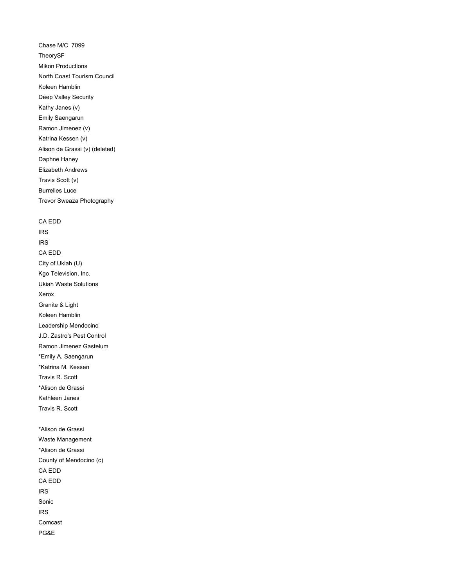Chase M/C 7099 TheorySF Mikon Productions North Coast Tourism Council Koleen Hamblin Deep Valley Security Kathy Janes (v) Emily Saengarun Ramon Jimenez (v) Katrina Kessen (v) Alison de Grassi (v) (deleted) Daphne Haney Elizabeth Andrews Travis Scott (v) Burrelles Luce Trevor Sweaza Photography

CA EDD IRS IRS CA EDD City of Ukiah (U) Kgo Television, Inc. Ukiah Waste Solutions Xerox Granite & Light Koleen Hamblin Leadership Mendocino J.D. Zastro's Pest Control Ramon Jimenez Gastelum \*Emily A. Saengarun \*Katrina M. Kessen Travis R. Scott \*Alison de Grassi Kathleen Janes Travis R. Scott

\*Alison de Grassi Waste Management \*Alison de Grassi County of Mendocino (c) CA EDD CA EDD IRS Sonic IRS Comcast PG&E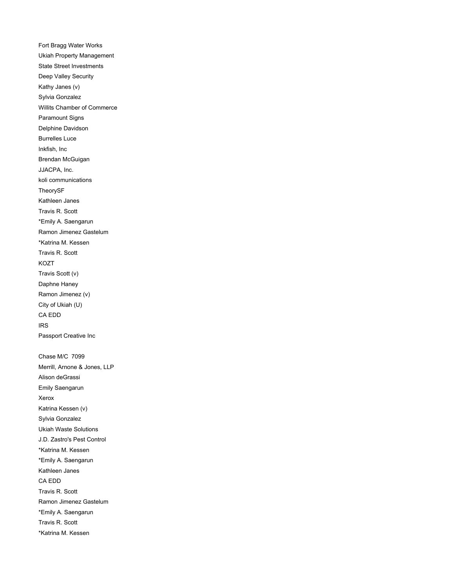Fort Bragg Water Works Ukiah Property Management State Street Investments Deep Valley Security Kathy Janes (v) Sylvia Gonzalez Willits Chamber of Commerce Paramount Signs Delphine Davidson Burrelles Luce Inkfish, Inc Brendan McGuigan JJACPA, Inc. koli communications TheorySF Kathleen Janes Travis R. Scott \*Emily A. Saengarun Ramon Jimenez Gastelum \*Katrina M. Kessen Travis R. Scott KOZT Travis Scott (v) Daphne Haney Ramon Jimenez (v) City of Ukiah (U) CA EDD IRS Passport Creative Inc Chase M/C 7099 Merrill, Arnone & Jones, LLP Alison deGrassi Emily Saengarun Xerox Katrina Kessen (v) Sylvia Gonzalez Ukiah Waste Solutions J.D. Zastro's Pest Control \*Katrina M. Kessen \*Emily A. Saengarun Kathleen Janes CA EDD Travis R. Scott Ramon Jimenez Gastelum \*Emily A. Saengarun Travis R. Scott \*Katrina M. Kessen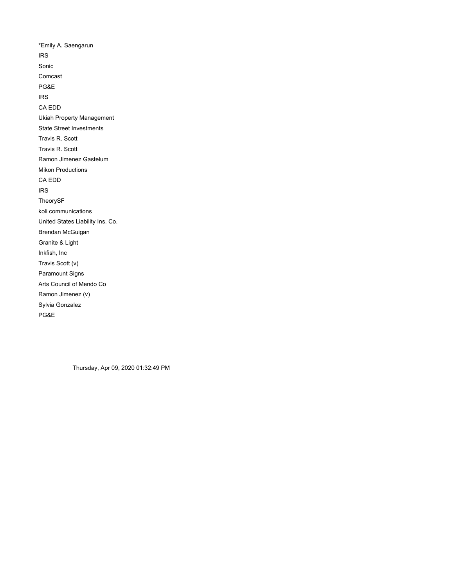\*Emily A. Saengarun IRS Sonic Comcast PG&E IRS CA EDD Ukiah Property Management State Street Investments Travis R. Scott Travis R. Scott Ramon Jimenez Gastelum Mikon Productions CA EDD IRS TheorySF koli communications United States Liability Ins. Co. Brendan McGuigan Granite & Light Inkfish, Inc Travis Scott (v) Paramount Signs Arts Council of Mendo Co Ramon Jimenez (v) Sylvia Gonzalez PG&E

Thursday, Apr 09, 2020 01:32:49 PM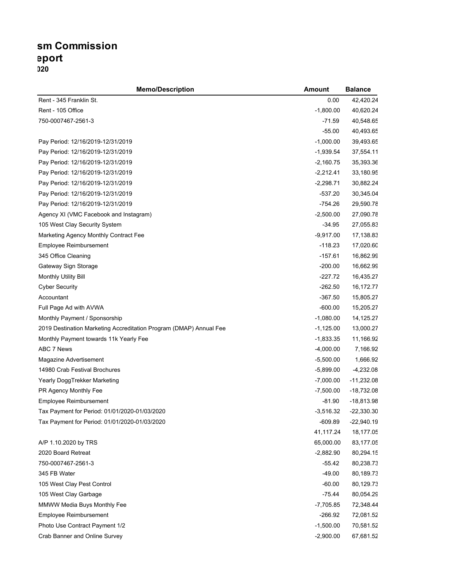## **sm Commission Transaction Report January - April, 2020**

| <b>Memo/Description</b>                                            | <b>Amount</b> | <b>Balance</b> |
|--------------------------------------------------------------------|---------------|----------------|
| Rent - 345 Franklin St.                                            | 0.00          | 42,420.24      |
| Rent - 105 Office                                                  | $-1,800.00$   | 40,620.24      |
| 750-0007467-2561-3                                                 | $-71.59$      | 40,548.65      |
|                                                                    | $-55.00$      | 40,493.65      |
| Pay Period: 12/16/2019-12/31/2019                                  | $-1,000.00$   | 39,493.65      |
| Pay Period: 12/16/2019-12/31/2019                                  | $-1,939.54$   | 37,554.11      |
| Pay Period: 12/16/2019-12/31/2019                                  | $-2,160.75$   | 35,393.36      |
| Pay Period: 12/16/2019-12/31/2019                                  | $-2,212.41$   | 33,180.95      |
| Pay Period: 12/16/2019-12/31/2019                                  | $-2,298.71$   | 30,882.24      |
| Pay Period: 12/16/2019-12/31/2019                                  | $-537.20$     | 30,345.04      |
| Pay Period: 12/16/2019-12/31/2019                                  | $-754.26$     | 29,590.78      |
| Agency XI (VMC Facebook and Instagram)                             | $-2,500.00$   | 27,090.78      |
| 105 West Clay Security System                                      | $-34.95$      | 27,055.83      |
| Marketing Agency Monthly Contract Fee                              | $-9,917.00$   | 17,138.83      |
| Employee Reimbursement                                             | $-118.23$     | 17,020.60      |
| 345 Office Cleaning                                                | $-157.61$     | 16,862.99      |
| Gateway Sign Storage                                               | $-200.00$     | 16,662.99      |
| Monthly Utility Bill                                               | -227.72       | 16,435.27      |
| <b>Cyber Security</b>                                              | $-262.50$     | 16,172.77      |
| Accountant                                                         | $-367.50$     | 15,805.27      |
| Full Page Ad with AVWA                                             | $-600.00$     | 15,205.27      |
| Monthly Payment / Sponsorship                                      | $-1,080.00$   | 14,125.27      |
| 2019 Destination Marketing Accreditation Program (DMAP) Annual Fee | $-1,125.00$   | 13,000.27      |
| Monthly Payment towards 11k Yearly Fee                             | $-1,833.35$   | 11,166.92      |
| ABC 7 News                                                         | $-4,000.00$   | 7,166.92       |
| Magazine Advertisement                                             | $-5,500.00$   | 1,666.92       |
| 14980 Crab Festival Brochures                                      | $-5,899.00$   | $-4,232.08$    |
| Yearly DoggTrekker Marketing                                       | $-7,000.00$   | $-11,232.08$   |
| PR Agency Monthly Fee                                              | $-7,500.00$   | $-18,732.08$   |
| <b>Employee Reimbursement</b>                                      | $-81.90$      | $-18,813.98$   |
| Tax Payment for Period: 01/01/2020-01/03/2020                      | $-3,516.32$   | $-22,330.30$   |
| Tax Payment for Period: 01/01/2020-01/03/2020                      | $-609.89$     | $-22,940.19$   |
|                                                                    | 41,117.24     | 18,177.05      |
| A/P 1.10.2020 by TRS                                               | 65,000.00     | 83,177.05      |
| 2020 Board Retreat                                                 | $-2,882.90$   | 80,294.15      |
| 750-0007467-2561-3                                                 | $-55.42$      | 80,238.73      |
| 345 FB Water                                                       | $-49.00$      | 80,189.73      |
| 105 West Clay Pest Control                                         | $-60.00$      | 80,129.73      |
| 105 West Clay Garbage                                              | $-75.44$      | 80,054.29      |
| MMWW Media Buys Monthly Fee                                        | $-7,705.85$   | 72,348.44      |
| Employee Reimbursement                                             | $-266.92$     | 72,081.52      |
| Photo Use Contract Payment 1/2                                     | $-1,500.00$   | 70,581.52      |
| Crab Banner and Online Survey                                      | $-2,900.00$   | 67,681.52      |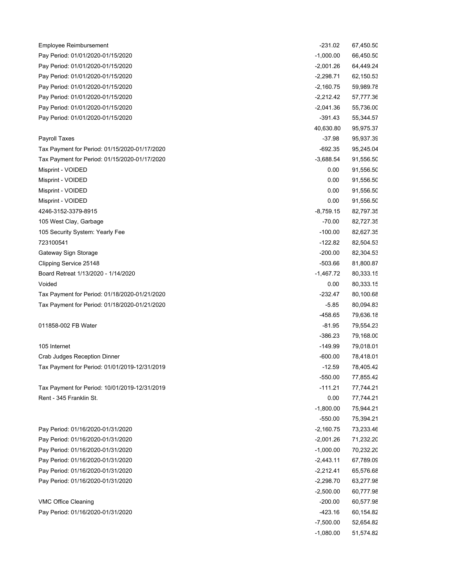| Employee Reimbursement                        | $-231.02$   | 67,450.50 |
|-----------------------------------------------|-------------|-----------|
| Pay Period: 01/01/2020-01/15/2020             | $-1,000.00$ | 66,450.50 |
| Pay Period: 01/01/2020-01/15/2020             | $-2,001.26$ | 64,449.24 |
| Pay Period: 01/01/2020-01/15/2020             | $-2,298.71$ | 62,150.53 |
| Pay Period: 01/01/2020-01/15/2020             | $-2,160.75$ | 59,989.78 |
| Pay Period: 01/01/2020-01/15/2020             | $-2,212.42$ | 57,777.36 |
| Pay Period: 01/01/2020-01/15/2020             | $-2,041.36$ | 55,736.00 |
| Pay Period: 01/01/2020-01/15/2020             | $-391.43$   | 55,344.57 |
|                                               | 40,630.80   | 95,975.37 |
| <b>Payroll Taxes</b>                          | $-37.98$    | 95,937.39 |
| Tax Payment for Period: 01/15/2020-01/17/2020 | $-692.35$   | 95,245.04 |
| Tax Payment for Period: 01/15/2020-01/17/2020 | $-3,688.54$ | 91,556.50 |
| Misprint - VOIDED                             | 0.00        | 91,556.50 |
| Misprint - VOIDED                             | 0.00        | 91,556.50 |
| Misprint - VOIDED                             | 0.00        | 91,556.50 |
| Misprint - VOIDED                             | 0.00        | 91,556.50 |
| 4246-3152-3379-8915                           | $-8,759.15$ | 82,797.35 |
| 105 West Clay, Garbage                        | $-70.00$    | 82,727.35 |
| 105 Security System: Yearly Fee               | $-100.00$   | 82,627.35 |
| 723100541                                     | $-122.82$   | 82,504.53 |
| Gateway Sign Storage                          | $-200.00$   | 82,304.53 |
| Clipping Service 25148                        | -503.66     | 81,800.87 |
| Board Retreat 1/13/2020 - 1/14/2020           | $-1,467.72$ | 80,333.15 |
| Voided                                        | 0.00        | 80,333.15 |
| Tax Payment for Period: 01/18/2020-01/21/2020 | $-232.47$   | 80,100.68 |
| Tax Payment for Period: 01/18/2020-01/21/2020 | $-5.85$     | 80,094.83 |
|                                               | $-458.65$   | 79,636.18 |
| 011858-002 FB Water                           | -81.95      | 79,554.23 |
|                                               | $-386.23$   | 79,168.00 |
| 105 Internet                                  | $-149.99$   | 79,018.01 |
| Crab Judges Reception Dinner                  | $-600.00$   | 78,418.01 |
| Tax Payment for Period: 01/01/2019-12/31/2019 | $-12.59$    | 78,405.42 |
|                                               | $-550.00$   | 77,855.42 |
| Tax Payment for Period: 10/01/2019-12/31/2019 | $-111.21$   | 77,744.21 |
| Rent - 345 Franklin St.                       | 0.00        | 77,744.21 |
|                                               | $-1,800.00$ | 75,944.21 |
|                                               | $-550.00$   | 75,394.21 |
| Pay Period: 01/16/2020-01/31/2020             | $-2,160.75$ | 73,233.46 |
| Pay Period: 01/16/2020-01/31/2020             | $-2,001.26$ | 71,232.20 |
| Pay Period: 01/16/2020-01/31/2020             | $-1,000.00$ | 70,232.20 |
| Pay Period: 01/16/2020-01/31/2020             | $-2,443.11$ | 67,789.09 |
| Pay Period: 01/16/2020-01/31/2020             | $-2,212.41$ | 65,576.68 |
| Pay Period: 01/16/2020-01/31/2020             | $-2,298.70$ | 63,277.98 |
|                                               | $-2,500.00$ | 60,777.98 |
| VMC Office Cleaning                           | $-200.00$   | 60,577.98 |
| Pay Period: 01/16/2020-01/31/2020             | $-423.16$   | 60,154.82 |
|                                               | $-7,500.00$ | 52,654.82 |
|                                               | $-1,080.00$ | 51,574.82 |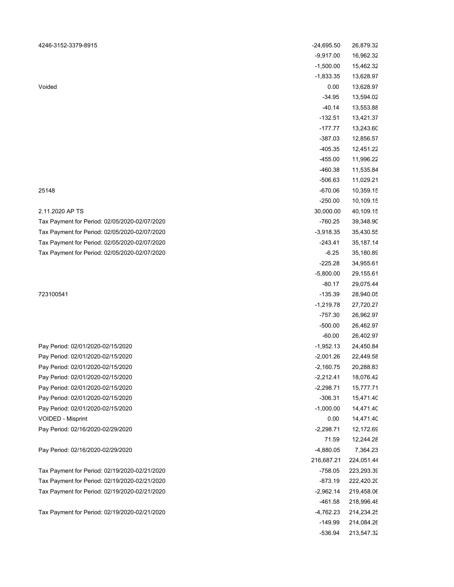### 2.11.2020 AP TS

| 4246-3152-3379-8915                                                    | $-24,695.50$               | 26,879.32              |
|------------------------------------------------------------------------|----------------------------|------------------------|
|                                                                        | $-9,917.00$                | 16,962.32              |
|                                                                        | $-1,500.00$                | 15,462.32              |
|                                                                        | $-1,833.35$                | 13,628.97              |
| Voided                                                                 | 0.00                       | 13,628.97              |
|                                                                        | $-34.95$                   | 13,594.02              |
|                                                                        | $-40.14$                   | 13,553.88              |
|                                                                        | $-132.51$                  | 13,421.37              |
|                                                                        | $-177.77$                  | 13,243.60              |
|                                                                        | -387.03                    | 12,856.57              |
|                                                                        | $-405.35$                  | 12,451.22              |
|                                                                        | $-455.00$                  | 11,996.22              |
|                                                                        | $-460.38$                  | 11,535.84              |
|                                                                        | -506.63                    | 11,029.21              |
| 25148                                                                  | $-670.06$                  | 10,359.15              |
|                                                                        | $-250.00$                  | 10,109.15              |
| 2.11.2020 AP TS                                                        | 30,000.00                  | 40,109.15              |
| Tax Payment for Period: 02/05/2020-02/07/2020                          | $-760.25$                  | 39,348.90              |
| Tax Payment for Period: 02/05/2020-02/07/2020                          | $-3,918.35$                | 35,430.55              |
| Tax Payment for Period: 02/05/2020-02/07/2020                          | $-243.41$                  | 35,187.14              |
| Tax Payment for Period: 02/05/2020-02/07/2020                          | $-6.25$                    | 35,180.89              |
|                                                                        | $-225.28$                  | 34,955.61              |
|                                                                        | $-5,800.00$                | 29,155.61              |
|                                                                        | $-80.17$                   | 29,075.44              |
| 723100541                                                              | $-135.39$                  | 28,940.05              |
|                                                                        | $-1,219.78$                | 27,720.27              |
|                                                                        | -757.30                    | 26,962.97              |
|                                                                        | $-500.00$                  | 26,462.97              |
| Pay Period: 02/01/2020-02/15/2020                                      | $-60.00$                   | 26,402.97              |
|                                                                        | $-1,952.13$                | 24,450.84              |
| Pay Period: 02/01/2020-02/15/2020                                      | $-2,001.26$                | 22,449.58              |
| Pay Period: 02/01/2020-02/15/2020<br>Pay Period: 02/01/2020-02/15/2020 | $-2,160.75$<br>$-2,212.41$ | 20,288.83<br>18,076.42 |
| Pay Period: 02/01/2020-02/15/2020                                      | $-2,298.71$                | 15,777.71              |
| Pay Period: 02/01/2020-02/15/2020                                      | $-306.31$                  | 15,471.40              |
| Pay Period: 02/01/2020-02/15/2020                                      | $-1,000.00$                | 14,471.40              |
| <b>VOIDED - Misprint</b>                                               | 0.00                       | 14,471.40              |
| Pay Period: 02/16/2020-02/29/2020                                      | $-2,298.71$                | 12,172.69              |
|                                                                        | 71.59                      | 12,244.28              |
| Pay Period: 02/16/2020-02/29/2020                                      | $-4,880.05$                | 7,364.23               |
|                                                                        | 216,687.21                 | 224,051.44             |
| Tax Payment for Period: 02/19/2020-02/21/2020                          | $-758.05$                  | 223,293.39             |
| Tax Payment for Period: 02/19/2020-02/21/2020                          | -873.19                    | 222,420.20             |
| Tax Payment for Period: 02/19/2020-02/21/2020                          | $-2,962.14$                | 219,458.06             |
|                                                                        | $-461.58$                  | 218,996.48             |
| Tax Payment for Period: 02/19/2020-02/21/2020                          | $-4,762.23$                | 214,234.25             |
|                                                                        | $-149.99$                  | 214,084.26             |
|                                                                        | -536.94                    | 213,547.32             |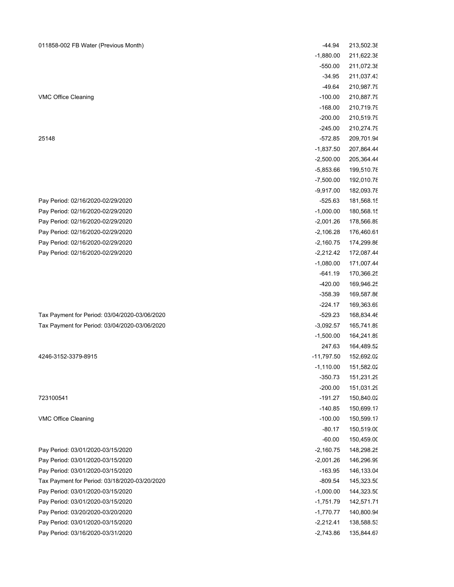### 011858-002 FB Water (Previous Month)

| 011858-002 FB Water (Previous Month)          | $-44.94$     | 213,502.38 |
|-----------------------------------------------|--------------|------------|
|                                               | $-1,880.00$  | 211,622.38 |
|                                               | $-550.00$    | 211,072.38 |
|                                               | $-34.95$     | 211,037.43 |
|                                               | $-49.64$     | 210,987.79 |
| VMC Office Cleaning                           | $-100.00$    | 210,887.79 |
|                                               | $-168.00$    | 210,719.79 |
|                                               | $-200.00$    | 210,519.79 |
|                                               | $-245.00$    | 210,274.79 |
| 25148                                         | $-572.85$    | 209,701.94 |
|                                               | $-1,837.50$  | 207,864.44 |
|                                               | $-2,500.00$  | 205,364.44 |
|                                               | $-5,853.66$  | 199,510.78 |
|                                               | $-7,500.00$  | 192,010.78 |
|                                               | $-9,917.00$  | 182,093.78 |
| Pay Period: 02/16/2020-02/29/2020             | $-525.63$    | 181,568.15 |
| Pay Period: 02/16/2020-02/29/2020             | $-1,000.00$  | 180,568.15 |
| Pay Period: 02/16/2020-02/29/2020             | $-2,001.26$  | 178,566.89 |
| Pay Period: 02/16/2020-02/29/2020             | $-2,106.28$  | 176,460.61 |
| Pay Period: 02/16/2020-02/29/2020             | $-2,160.75$  | 174,299.86 |
| Pay Period: 02/16/2020-02/29/2020             | $-2,212.42$  | 172,087.44 |
|                                               | $-1,080.00$  | 171,007.44 |
|                                               | $-641.19$    | 170,366.25 |
|                                               | -420.00      | 169,946.25 |
|                                               | $-358.39$    | 169,587.86 |
|                                               | $-224.17$    | 169,363.69 |
| Tax Payment for Period: 03/04/2020-03/06/2020 | $-529.23$    | 168,834.46 |
| Tax Payment for Period: 03/04/2020-03/06/2020 | $-3,092.57$  | 165,741.89 |
|                                               | $-1,500.00$  | 164,241.89 |
|                                               | 247.63       | 164,489.52 |
| 4246-3152-3379-8915                           | $-11,797.50$ | 152,692.02 |
|                                               | $-1,110.00$  | 151,582.02 |
|                                               | $-350.73$    | 151,231.29 |
|                                               | $-200.00$    | 151,031.29 |
| 723100541                                     | $-191.27$    | 150,840.02 |
|                                               | $-140.85$    | 150,699.17 |
| <b>VMC Office Cleaning</b>                    | $-100.00$    | 150,599.17 |
|                                               | $-80.17$     | 150,519.00 |
|                                               | $-60.00$     | 150,459.00 |
| Pay Period: 03/01/2020-03/15/2020             | $-2,160.75$  | 148,298.25 |
| Pay Period: 03/01/2020-03/15/2020             | $-2,001.26$  | 146,296.99 |
| Pay Period: 03/01/2020-03/15/2020             | $-163.95$    | 146,133.04 |
| Tax Payment for Period: 03/18/2020-03/20/2020 | $-809.54$    | 145,323.50 |
| Pay Period: 03/01/2020-03/15/2020             | $-1,000.00$  | 144,323.50 |
| Pay Period: 03/01/2020-03/15/2020             | $-1,751.79$  | 142,571.71 |
| Pay Period: 03/20/2020-03/20/2020             | $-1,770.77$  | 140,800.94 |
| Pay Period: 03/01/2020-03/15/2020             | $-2,212.41$  | 138,588.53 |
| Pay Period: 03/16/2020-03/31/2020             | $-2,743.86$  | 135,844.67 |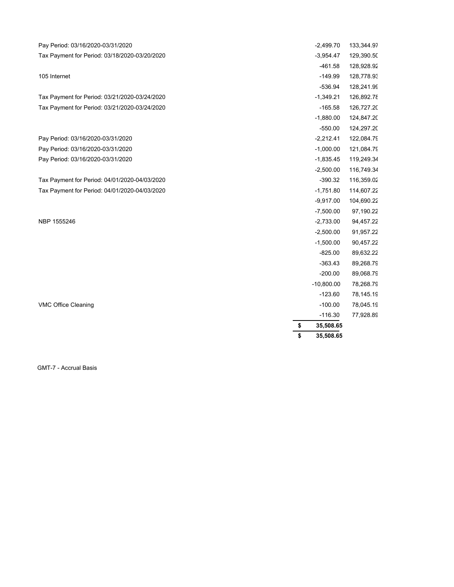| Pay Period: 03/16/2020-03/31/2020             | $-2,499.70$     | 133,344.97 |
|-----------------------------------------------|-----------------|------------|
| Tax Payment for Period: 03/18/2020-03/20/2020 | $-3,954.47$     | 129,390.50 |
|                                               | $-461.58$       | 128,928.92 |
| 105 Internet                                  | $-149.99$       | 128,778.93 |
|                                               | -536.94         | 128,241.99 |
| Tax Payment for Period: 03/21/2020-03/24/2020 | $-1,349.21$     | 126,892.78 |
| Tax Payment for Period: 03/21/2020-03/24/2020 | $-165.58$       | 126,727.20 |
|                                               | $-1,880.00$     | 124,847.20 |
|                                               | $-550.00$       | 124,297.20 |
| Pay Period: 03/16/2020-03/31/2020             | $-2,212.41$     | 122,084.79 |
| Pay Period: 03/16/2020-03/31/2020             | $-1,000.00$     | 121,084.79 |
| Pay Period: 03/16/2020-03/31/2020             | $-1,835.45$     | 119,249.34 |
|                                               | $-2,500.00$     | 116,749.34 |
| Tax Payment for Period: 04/01/2020-04/03/2020 | $-390.32$       | 116,359.02 |
| Tax Payment for Period: 04/01/2020-04/03/2020 | $-1,751.80$     | 114,607.22 |
|                                               | $-9,917.00$     | 104,690.22 |
|                                               | $-7,500.00$     | 97,190.22  |
| NBP 1555246                                   | $-2,733.00$     | 94,457.22  |
|                                               | $-2,500.00$     | 91,957.22  |
|                                               | $-1,500.00$     | 90,457.22  |
|                                               | $-825.00$       | 89,632.22  |
|                                               | $-363.43$       | 89,268.79  |
|                                               | $-200.00$       | 89,068.79  |
|                                               | $-10,800.00$    | 78,268.79  |
|                                               | $-123.60$       | 78,145.19  |
| <b>VMC Office Cleaning</b>                    | $-100.00$       | 78,045.19  |
|                                               | $-116.30$       | 77,928.89  |
|                                               | \$<br>35,508.65 |            |
|                                               | \$<br>35,508.65 |            |

GMT-7 - Accrual Basis